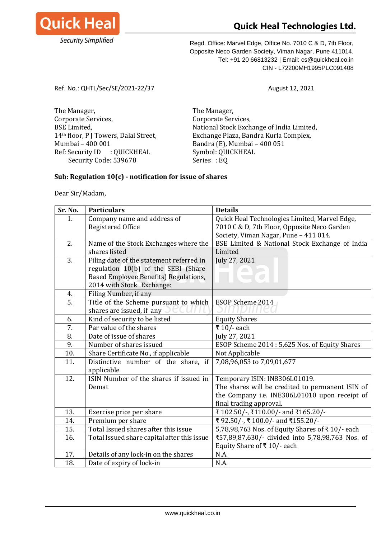

## **Quick Heal Technologies Ltd.**

Regd. Office: Marvel Edge, Office No. 7010 C & D, 7th Floor, Opposite Neco Garden Society, Viman Nagar, Pune 411014. Tel: +91 20 66813232 | Email: cs@quickheal.co.in CIN - L72200MH1995PLC091408

Ref. No.: QHTL/Sec/SE/2021-22/37 August 12, 2021

The Manager, The Manager, Corporate Services,  $C$ orporate Services, Mumbai – 400 001 Bandra (E), Mumbai – 400 051 Ref: Security ID : QUICKHEAL Symbol: QUICKHEAL Security Code: 539678 Series : EQ

BSE Limited, National Stock Exchange of India Limited, 14<sup>th</sup> floor, P J Towers, Dalal Street, Exchange Plaza, Bandra Kurla Complex,

## **Sub: Regulation 10(c) - notification for issue of shares**

Dear Sir/Madam,

| Sr. No. | <b>Particulars</b>                          | <b>Details</b>                                   |
|---------|---------------------------------------------|--------------------------------------------------|
| 1.      | Company name and address of                 | Quick Heal Technologies Limited, Marvel Edge,    |
|         | Registered Office                           | 7010 C & D, 7th Floor, Opposite Neco Garden      |
|         |                                             | Society, Viman Nagar, Pune - 411 014.            |
| 2.      | Name of the Stock Exchanges where the       | BSE Limited & National Stock Exchange of India   |
|         | shares listed                               | Limited                                          |
| 3.      | Filing date of the statement referred in    | July 27, 2021                                    |
|         | regulation 10(b) of the SEBI (Share         |                                                  |
|         | Based Employee Benefits) Regulations,       |                                                  |
|         | 2014 with Stock Exchange:                   |                                                  |
| 4.      | Filing Number, if any                       |                                                  |
| 5.      | Title of the Scheme pursuant to which       | ESOP Scheme 2014                                 |
|         | shares are issued, if any                   |                                                  |
| 6.      | Kind of security to be listed               | <b>Equity Shares</b>                             |
| 7.      | Par value of the shares                     | ₹ 10/- each                                      |
| 8.      | Date of issue of shares                     | July 27, 2021                                    |
| 9.      | Number of shares issued                     | ESOP Scheme 2014: 5,625 Nos. of Equity Shares    |
| 10.     | Share Certificate No., if applicable        | Not Applicable                                   |
| 11.     | Distinctive number of the share, if         | 7,08,96,053 to 7,09,01,677                       |
|         | applicable                                  |                                                  |
| 12.     | ISIN Number of the shares if issued in      | Temporary ISIN: IN8306L01019.                    |
|         | Demat                                       | The shares will be credited to permanent ISIN of |
|         |                                             | the Company i.e. INE306L01010 upon receipt of    |
|         |                                             | final trading approval.                          |
| 13.     | Exercise price per share                    | ₹102.50/-, ₹110.00/- and ₹165.20/-               |
| 14.     | Premium per share                           | ₹92.50/-, ₹100.0/- and ₹155.20/-                 |
| 15.     | Total Issued shares after this issue        | 5,78,98,763 Nos. of Equity Shares of ₹10/- each  |
| 16.     | Total Issued share capital after this issue | ₹57,89,87,630/- divided into 5,78,98,763 Nos. of |
|         |                                             | Equity Share of ₹10/- each                       |
| 17.     | Details of any lock-in on the shares        | N.A.                                             |
| 18.     | Date of expiry of lock-in                   | N.A.                                             |